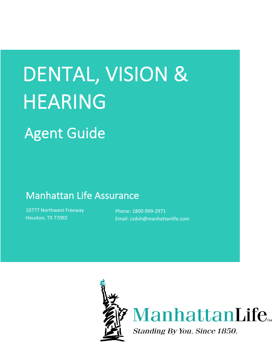# DENTAL, VISION & HEARING

# Agent Guide

# Manhattan Life Assurance<br>
10777 Northwest Freeway<br>
Phone: 1800-999-2971

10777 Northwest Freeway Houston, TX 77092 **Email:** csdvh Heaster, Myrose

10777 Northwest Freeway

Phone: 1800-999-2971 Email: csdvh@manhattanlife.com

Phone:

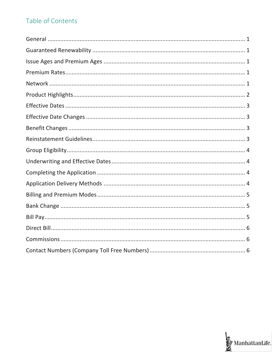# Table of Contents

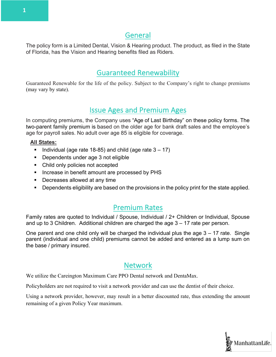## General

The policy form is a Limited Dental, Vision & Hearing product. The product, as filed in the State of Florida, has the Vision and Hearing benefits filed as Riders.

# Guaranteed Renewability

Guaranteed Renewable for the life of the policy. Subject to the Company's right to change premiums (may vary by state).

# Issue Ages and Premium Ages

In computing premiums, the Company uses "Age of Last Birthday" on these policy forms. The two-parent family premium is based on the older age for bank draft sales and the employee's age for payroll sales. No adult over age 85 is eligible for coverage.

#### **All States:**

- **•** Individual (age rate 18-85) and child (age rate  $3 17$ )
- Dependents under age 3 not eligible
- Child only policies not accepted
- Increase in benefit amount are processed by PHS
- Decreases allowed at any time
- § Dependents eligibility are based on the provisions in the policy print for the state applied.

### Premium Rates

Family rates are quoted to Individual / Spouse, Individual / 2+ Children or Individual, Spouse and up to 3 Children. Additional children are charged the age 3 – 17 rate per person.

One parent and one child only will be charged the individual plus the age  $3 - 17$  rate. Single parent (individual and one child) premiums cannot be added and entered as a lump sum on the base / primary insured.

## Network

We utilize the Careington Maximum Care PPO Dental network and DentaMax.

Policyholders are not required to visit a network provider and can use the dentist of their choice.

Using a network provider, however, may result in a better discounted rate, thus extending the amount remaining of a given Policy Year maximum.

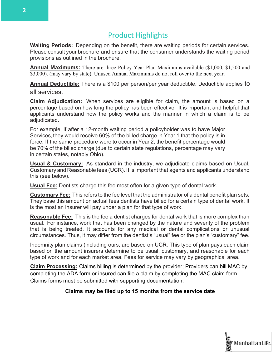# Product Highlights

**Waiting Periods:** Depending on the benefit, there are waiting periods for certain services. Please consult your brochure and ensure that the consumer understands the waiting period provisions as outlined in the brochure.

**Annual Maximums:** There are three Policy Year Plan Maximums available (\$1,000, \$1,500 and \$3,000). (may vary by state). Unused Annual Maximums do not roll over to the next year.

**Annual Deductible:** There is a \$100 per person/per year deductible. Deductible applies to all services.

**Claim Adjudication:** When services are eligible for claim, the amount is based on a percentage based on how long the policy has been effective. It is important and helpful that applicants understand how the policy works and the manner in which a claim is to be adiudicated.

For example, if after a 12-month waiting period a policyholder was to have Major Services, they would receive 60% of the billed charge in Year 1 that the policy is in force. If the same procedure were to occur in Year 2, the benefit percentage would be 70% of the billed charge (due to certain state regulations, percentage may vary in certain states, notably Ohio).

**Usual & Customary:** As standard in the industry, we adjudicate claims based on Usual, Customary and Reasonable fees (UCR). It is important that agents and applicants understand this (see below).

**Usual Fee:** Dentists charge this fee most often for a given type of dental work.

**Customary Fee:** This refers to the fee level that the administrator of a dental benefit plan sets. They base this amount on actual fees dentists have billed for a certain type of dental work. It is the most an insurer will pay under a plan for that type of work.

**Reasonable Fee:** This is the fee a dentist charges for dental work that is more complex than usual. For instance, work that has been changed by the nature and severity of the problem that is being treated. It accounts for any medical or dental complications or unusual circumstances. Thus, it may differ from the dentist's "usual" fee or the plan's "customary" fee.

Indemnity plan claims (including ours, are based on UCR. This type of plan pays each claim based on the amount insurers determine to be usual, customary, and reasonable for each type of work and for each market area. Fees for service may vary by geographical area.

**Claim Processing:** Claims billing is determined by the provider; Providers can bill MAC by completing the ADA form or insured can file a claim by completing the MAC claim form. Claims forms must be submitted with supporting documentation.

#### **Claims may be filed up to 15 months from the service date**

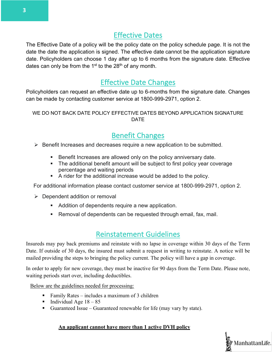# Effective Dates

The Effective Date of a policy will be the policy date on the policy schedule page. It is not the date the date the application is signed. The effective date cannot be the application signature date. Policyholders can choose 1 day after up to 6 months from the signature date. Effective dates can only be from the  $1<sup>st</sup>$  to the 28<sup>th</sup> of any month.

# Effective Date Changes

Policyholders can request an effective date up to 6-months from the signature date. Changes can be made by contacting customer service at 1800-999-2971, option 2.

#### WE DO NOT BACK DATE POLICY EFFECTIVE DATES BEYOND APPLICATION SIGNATURE DATE

# Benefit Changes

 $\triangleright$  Benefit Increases and decreases require a new application to be submitted.

- Benefit Increases are allowed only on the policy anniversary date.
- The additional benefit amount will be subject to first policy year coverage percentage and waiting periods
- A rider for the additional increase would be added to the policy.

For additional information please contact customer service at 1800-999-2971, option 2.

- $\triangleright$  Dependent addition or removal
	- **EXECT** Addition of dependents require a new application.
	- Removal of dependents can be requested through email, fax, mail.

# Reinstatement Guidelines

Insureds may pay back premiums and reinstate with no lapse in coverage within 30 days of the Term Date. If outside of 30 days, the insured must submit a request in writing to reinstate. A notice will be mailed providing the steps to bringing the policy current. The policy will have a gap in coverage.

In order to apply for new coverage, they must be inactive for 90 days from the Term Date. Please note, waiting periods start over, including deductibles.

Below are the guidelines needed for processing:

- Family Rates includes a maximum of 3 children
- Individual Age  $18 85$
- Guaranteed Issue Guaranteed renewable for life (may vary by state).

#### **An applicant cannot have more than 1 active DVH policy**

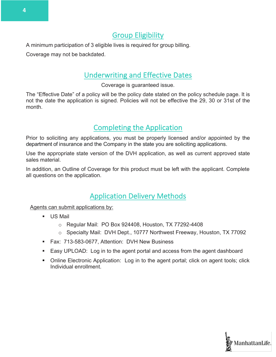## Group Eligibility

A minimum participation of 3 eligible lives is required for group billing.

Coverage may not be backdated.

# Underwriting and Effective Dates

Coverage is guaranteed issue.

The "Effective Date" of a policy will be the policy date stated on the policy schedule page. It is not the date the application is signed. Policies will not be effective the 29, 30 or 31st of the month.

# Completing the Application

Prior to soliciting any applications, you must be properly licensed and/or appointed by the department of insurance and the Company in the state you are soliciting applications.

Use the appropriate state version of the DVH application, as well as current approved state sales material.

In addition, an Outline of Coverage for this product must be left with the applicant. Complete all questions on the application.

# Application Delivery Methods

Agents can submit applications by:

- US Mail
	- o Regular Mail: PO Box 924408, Houston, TX 77292-4408
	- o Specialty Mail: DVH Dept., 10777 Northwest Freeway, Houston, TX 77092
- § Fax: 713-583-0677, Attention: DVH New Business
- § Easy UPLOAD: Log in to the agent portal and access from the agent dashboard
- Online Electronic Application: Log in to the agent portal; click on agent tools; click Individual enrollment.

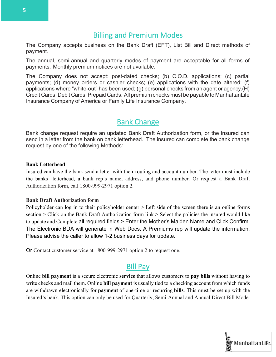## Billing and Premium Modes

The Company accepts business on the Bank Draft (EFT), List Bill and Direct methods of payment.

The annual, semi-annual and quarterly modes of payment are acceptable for all forms of payments. Monthly premium notices are not available.

The Company does not accept: post-dated checks; (b) C.O.D. applications; (c) partial payments; (d) money orders or cashier checks; (e) applications with the date altered; (f) applications where "white-out" has been used; (g) personal checks from an agent or agency.(H) Credit Cards, Debit Cards, Prepaid Cards. All premium checks must be payable to ManhattanLife Insurance Company of America or Family Life Insurance Company.

# Bank Change

Bank change request require an updated Bank Draft Authorization form, or the insured can send in a letter from the bank on bank letterhead. The insured can complete the bank change request by one of the following Methods:

#### **Bank Letterhead**

Insured can have the bank send a letter with their routing and account number. The letter must include the banks' letterhead, a bank rep's name, address, and phone number. Or request a Bank Draft Authorization form, call 1800-999-2971 option 2.

#### **Bank Draft Authorization form**

Policyholder can log in to their policyholder center > Left side of the screen there is an online forms section  $\geq$  Click on the Bank Draft Authorization form link  $\geq$  Select the policies the insured would like to update and Complete all required fields > Enter the Mother's Maiden Name and Click Confirm. The Electronic BDA will generate in Web Docs. A Premiums rep will update the information. Please advise the caller to allow 1-2 business days for update.

Or Contact customer service at 1800-999-2971 option 2 to request one.

### Bill Pay

Online **bill payment** is a secure electronic **service** that allows customers to **pay bills** without having to write checks and mail them. Online **bill payment** is usually tied to a checking account from which funds are withdrawn electronically for **payment** of one-time or recurring **bills**. This must be set up with the Insured's bank. This option can only be used for Quarterly, Semi-Annual and Annual Direct Bill Mode.

**5**